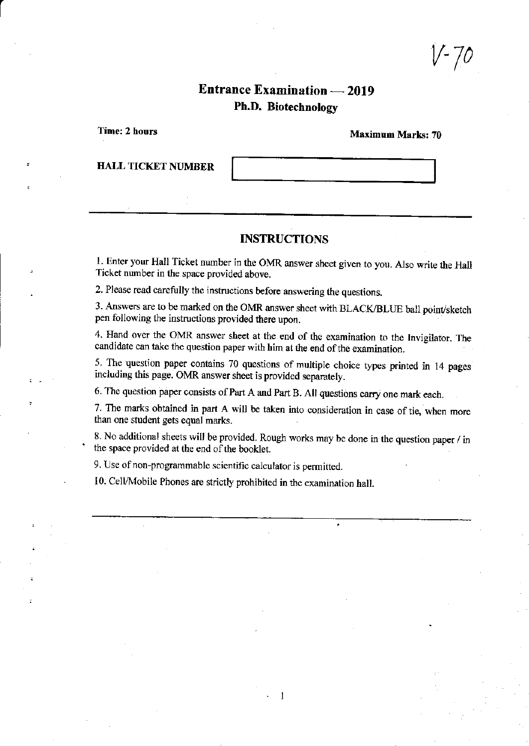v'70

# Entrance Examination - 2019 Ph.D. Biotechnology

Tine: 2 hours

Maximum Marks: 70

**HALL TICKET NUMBER** 

### **INSTRUCTIONS**

1. Enter your Hall Ticket number in the OMR answer sheet given to you. Also write the Hall Ticket number in the space provided above,

2. Please read carefully the instructions before answering the questions.

3. Answers are to be marked on the OMR answer sheet with BLACK/BLUE ball point/sketch pen following the instructions provided there upon.

4. Hand over the OMR answer sheet at the end of the examination to the Invigilator. The candidate can take the question paper with him at the end of the examination.

5. The question paper contains 70 questions of multiple choice types printed in 14 pages including this page. OMR answer sheet is provided separately.

6. The question paper consists of Part A and Part B. All questions carry one mark each.

7. The marks obtained in part A will be taken into consideration in case of tie, when more than one student gets equal marks.

8. No additional sheets will be provided. Rough works may be done in the question paper / in the space provided at the end of the booklet.

1

9. Use of non-programmable scientific calculator is permitted.

10. Cell/Mobile Phones are strictly prohibited in the examination hall.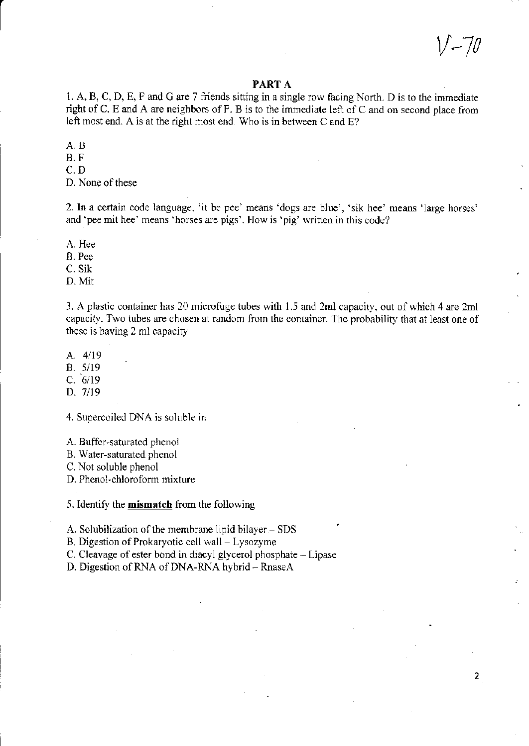v-70

 $2<sup>1</sup>$ 

#### PART A

1. A, B, C, D, E, F and G are 7 friends sitting in a single row facing North. D is to the immediate right of C. E and A are neighbors of F. B is to the immediate left of C and on second place from left most end. A is at the right most end. Who is in between C and E?

A.B

B.F

c.D

D. None of these

2. ln a certain code language, 'it be pee' means 'dogs are blue', 'sik hee' means 'large horses' and 'pee mit hee' means 'horses are pigs'. How is 'pig' written in this code?

A. Hee

B. Pee

c. sik

D. Mit

3. A plastic container has 20 microfuge tubes with 1.5 and 2ml capacity, out of which 4 are 2ml capacity. Two tubes are chosen at random from the container. The probability that at least one of these is having 2 ml capacity

A.  $4/19$ 

8.5/19

 $C. 6/19$ 

D. 7/19

4. Supercoiled DNA is soluble in

A. Buffer-saturated phenol

B. Water-saturatcd phenol

C. Not soluble phenol

D. Phenol-chloroform mixture

5. Identify the **mismatch** from the following

A. Solubilization of the membrane lipid bilayer  $-$  SDS

B. Digestion of Prokaryotic cell wall - Lysozyme

C. Cleavage of ester bond in diacyl glycerol phosphate - Lipase

D. Digestion of RNA of DNA-RNA hybrid - RnaseA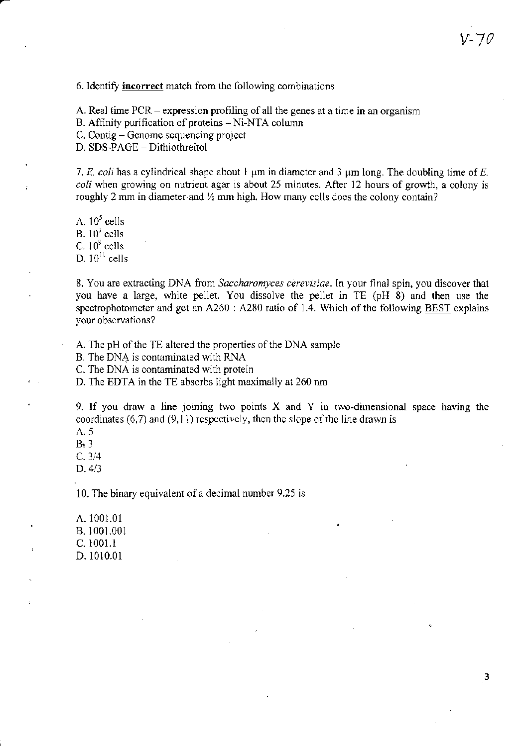#### 6. Identify incorrect match from the following combinations

A. Real time PCR – expression profiling of all the genes at a time in an organism

B. Affinity purification of proteins -Ni-NTA column

C. Contig - Genome sequencing project

D. SDS-PAGE - Dithiothreitol

7. E. coli has a cylindrical shape about 1  $\mu$ m in diameter and 3  $\mu$ m long. The doubling time of E. coli when growing on nutrient agar is about 25 minutes. After 12 hours of growth, a colony is roughly 2 mm in diameter and  $\frac{1}{2}$  mm high. How many cells does the colony contain?

A.  $10^5$  cells B.  $10^7$  cells C.  $10^9$  cells D.  $10^{11}$  cells

8. You are extracting DNA from Saccharomyces cerevisiae. In your final spin, you discover that you have a large, white pellet. You dissolve the pellet in TE (pH 8) and then use the spectrophotometer and get an  $A260$  :  $A280$  ratio of 1.4. Which of the following BEST explains your observations?

A. The pH of the TE altered the properties of the DNA sample

B. The DNA is contaminated with RNA

C. The DNA is contaminated with protein

D. The EDTA in the TE absorbs light maximally at  $260$  nm

9. If you draw a line joining two points X and Y in two-dimensional space having the coordinates  $(6,7)$  and  $(9,11)$  respectively, then the slope of the line drawn is

- $\Lambda$ . 5
- $B<sub>2</sub>$

c.3/4

 $D. 4/3$ 

10. The binary equivalent of a decimal number 9.25 is

A. 1001.01 B. 1001.001 c. 1001,1 D. 1010.01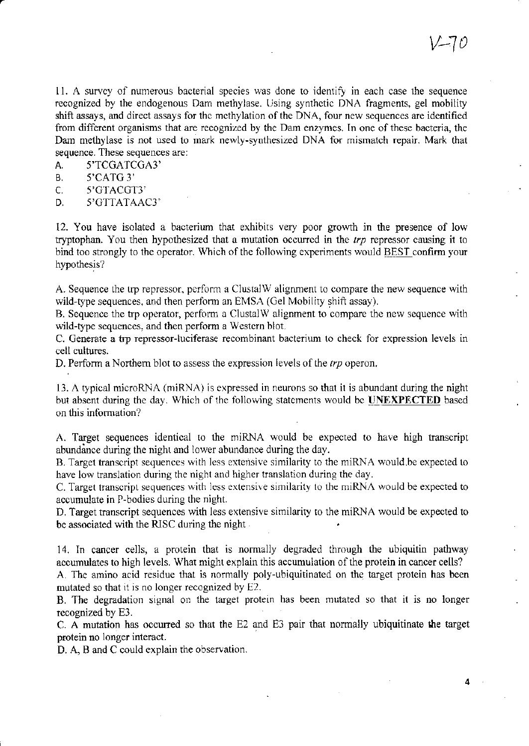11. A survey of numerous bacterial species was done to identify in each case the sequence recognized by the endogenous Dam methylase. Using synthetic DNA fragments, gel mobility shift assays, and direct assays for the methylation of the DNA, four new sequences are identified from difl'erent organisms that are recognized by the Dam enzymes. In one of these bacteria, the Dam methylase is not used to mark newly-synthesized DNA for mismatch repair. Mark that sequence. These sequences are:

A. 5'TCGATCGA3'

B. 5'CATG 3'<br>C. 5'GTACGT

C. 5'GTACGT3"<br>D. 5'GTTATAA

D. 5'GTTATAAC]'

12. You have isolated a bacterium that exhibits very poor growth in the presence of low tryptophan. You then hypothesized that a mutation occurred in the  $trp$  repressor causing it to bind too strongly to the operator. Which of the following experiments would BEST confirm your hypothesis?

A. Sequence the trp repressor, perform a ClustalW alignment to compare the new sequence with wild-type sequences, and then perform an EMSA (Gel Mobility shift assay).

B. Sequence the trp operator, perform a ClustalW alignment to compare the new sequence with wild-type sequences, and then peform a Western blot.

C. Generate a trp repressor-luciferase recombinant bacterium to check for expression levels in cell oultures.

D. Perform a Northern blot to assess the expression levels of the  $trp$  operon.

13. A typical microRNA (miRNA) is expressed in neurons so that it is abundant during the night but absent during the day. Which of the following statements would be **UNEXPECTED** based on this information?

A. Target sequences identical to the rniRNA would be expected to have high transcript abundance during the night and lower abundance during the day.

B. Target transcript sequences with less extensive similarity to the miRNA would, be expected to have low translation during the night and higher translation during the day.

C. Target transcript sequences with less extensive similarity to the miRNA would be expected to accumulate in P-bodies during the night.

D. Target transcript sequences with less extensive similarity to the miRNA would be expected to be associated with the RISC during the night

14. In cancer cells, a protein that is normally degraded through the ubiquitin pathway accunulates to high levels. What might explain this accumulation of the protein in cancer cells?

A. The amino acid residue that is normally poly-ubiquitinated on the target protein has been mutated so that it is no longer recognized by E2.

B. The degradation signal on the target protein has been mutated so that it is no longer recognized by E3.

C. A mutation has occurred so that the E2 and E3 pair that nomally ubiquitinate the target protein no longer interact.

D. A, B and C could explain the observation.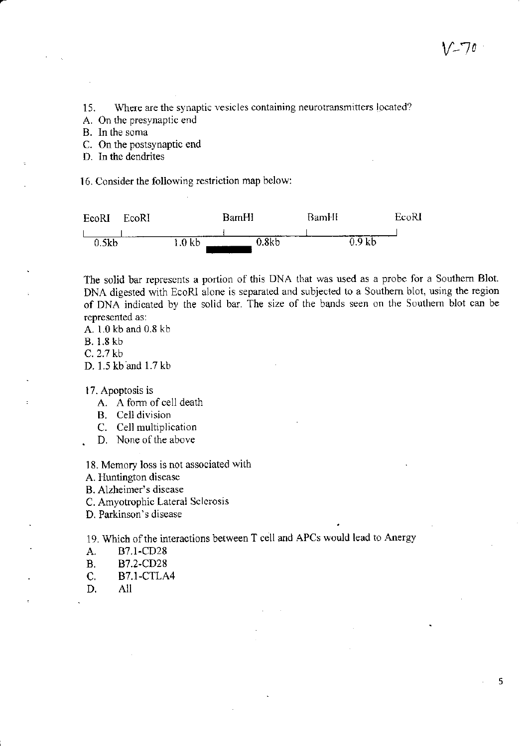15. Where are the synaptic vesicles containing neurotransmitters located?

A. On thc presynaptic end

B. In the soma

C. On the postsynaptic end

D. In the dendrites

16. Consider the foliowing restriction map below:



The solid bar represents a portion of this DNA that was used as a probe for a Southern Blot. DNA digested with EcoRI alone is separated and subjected to a Southern blot, using the region of DNA indicated by the solid bar. The size of the bands seen on the Southem blot car be represented as:

A. 1.0 kb and 0.8 kb

B. 1.8 kb

c. 2.7 kb

D. 1.5 kb ard 1.7 kb

17. Apoptosis is

- A. A form of cell death
- B. Cell division
- C. Cell multiplication
- D. None of the above

18. Memory loss is not associated with

A. Huntington disease

B. Alzheimer's discase

C. Amyotrophic Lateral Sclcrosis

D. Parkinson's diseas

19. Which of the interactions between T cell and APCs would lead to Anergy

- 
- A. B7.1-CD28<br>B. B7.2-CD28 B7.2-CD28
- C. B7.1-CTLA4<br>D. All
- All

5

 $V$ -' $/0$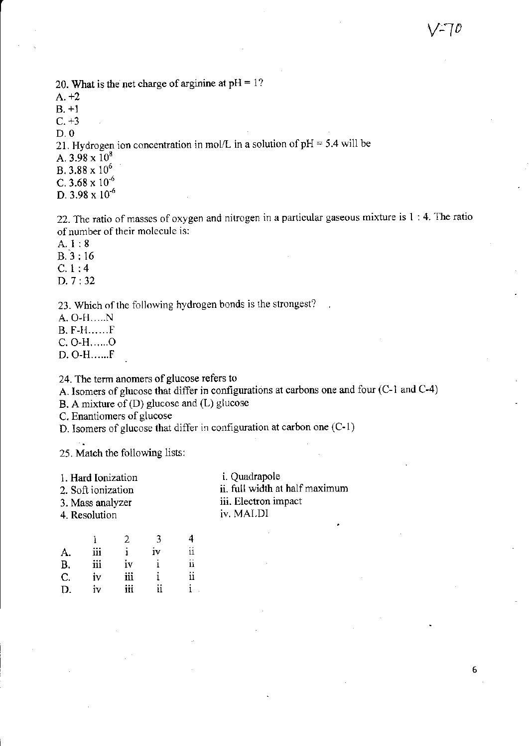20. What is the net charge of arginine at  $pH = 1$ ?  $A. +2$  $B. +1$  $C. +3$  $D.0$ 21. Hydrogen ion concentration in mol/L in a solution of  $pH = 5.4$  will be A.  $3.98 \times 10^8$ B,  $3.88 \times 10^6$ C,  $3.68 \times 10^{-6}$ D.  $3.98 \times 10^{-6}$ 

22. The ratio of masses of oxygen and nitrogen in a particular gaseous mixture is 1:4. The ratio of number of their molecule is:

 $A.1:8$ 

 $B.3:16$ 

 $C.1:4$ 

D. 7:32

23. Which of the following hydrogen bonds is the strongest?

A. O-H.....N

**B. F-H......**F

C. O-H......O

D. O-H......F

24. The term anomers of glucose refers to

A. Isomers of glucose that differ in configurations at carbons one and four (C-1 and C-4)

B. A mixture of (D) glucose and (L) glucose

C. Enantiomers of glucose

D. Isomers of glucose that differ in configuration at carbon one (C-1)

25. Match the following lists:

- 1. Hard Ionization
- 2. Soft ionization
- 3. Mass analyzer

4. Resolution

i. Quadrapole ii. full width at half maximum iii. Electron impact iv. MALDI

|           |     |     | Ч  | 4  |
|-----------|-----|-----|----|----|
| A.        | iii |     | iv | ii |
| <b>B.</b> | iii | iv  |    | ii |
| $C_{1}$   | iv  | iii |    | ii |
| D.        | iv  | iii | ii |    |

6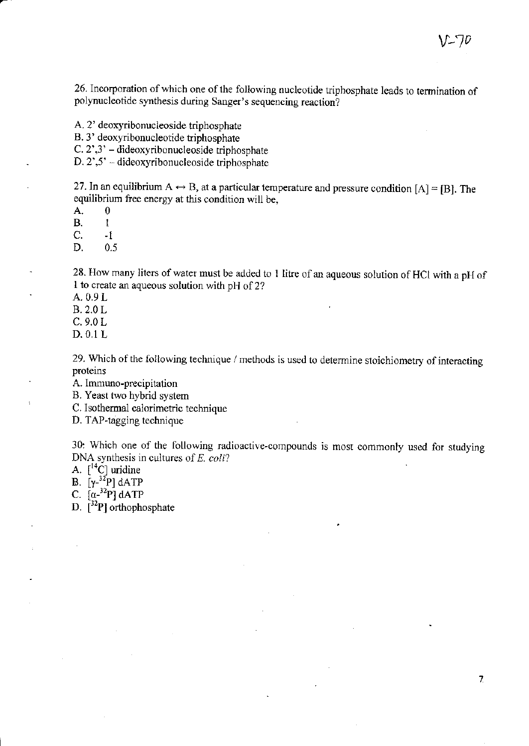26. Incorporation of which one of the following nucleotide triphosphate leads to termination of polynucleotide synthesis during Sanger's sequencing reaction?

A. 2' deoxyribonucleoside triphosphate

B. 3' deoxyribonucleotide triphosphate

C. 2',3' - dideoxyribonucleoside triphosphate

 $D. 2^{\prime}, 5^{\prime}$  – dideoxyribonucleoside triphosphate

27. In an equilibrium  $A \leftrightarrow B$ , at a particular temperature and pressure condition [A] = [B]. The equilibrium free energy at this condition will be.

A.

**B.**  $\mathbf{1}$ 

C.  $\cdot$  f

 $\mathbf{0}$ 

D.  $0.5$ 

28. How many liters of water must be added to 1 litre of an aqueous solution of HCl with a pH of 1 to create an aqueous solution with pH of 2?

A. 0.9 L

**B.2.0L** 

 $C.9.0 L$ 

D. 0.1 L

÷

29. Which of the following technique / methods is used to determine stoichiometry of interacting proteins

A. Immuno-precipitation

B. Yeast two hybrid system

C. Isothermal calorimetric technique

D. TAP-tagging technique

30. Which one of the following radioactive-compounds is most commonly used for studying DNA synthesis in cultures of  $E$ . coli?

A.  $[^{14}C]$  uridine

B.  $[\gamma^{-32}P]$  dATP<br>C.  $[\alpha^{-32}P]$  dATP

D.  $\lceil^{32}P\rceil$  orthophosphate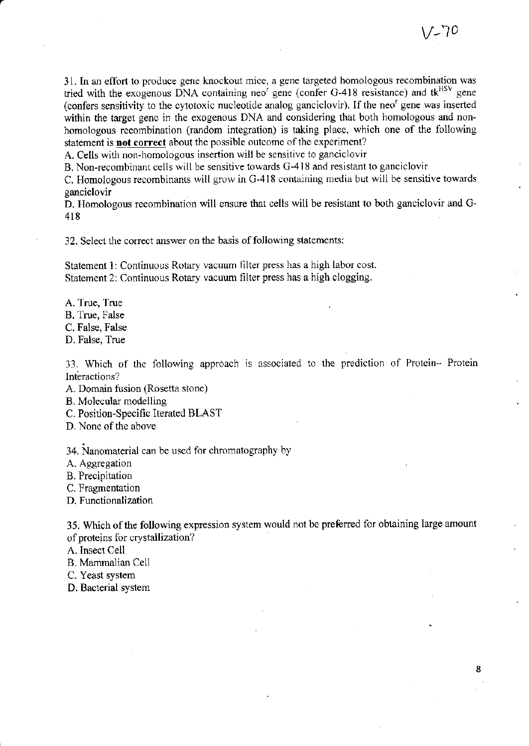8

31. In an effort to produce gene knockout mice, a gene targeted homologous recombination was tried with the exogenous DNA containing neo<sup>r</sup> gene (confer G-418 resistance) and tk<sup>HSV</sup> gene (confers sensitivity to the cytotoxic nucleotide analog ganciclovir). If the neo<sup>r</sup> gene was inserted within the target genc in the exogenous DNA and considering that both homologous and nonhomologous recombination (random integration) is taking place, which one of the following statement is **not correct** about the possible outcome of the experiment?

A. Cells with non-homologous insertion wili be sensitive to ganciclovir

B. Non-rgcombinant cells will be sensitive towards C-418 and resistant to ganciclovir

C. Homologous recombinants will grow in G-418 containing media but will be sensitive towards ganciclovir

D. Homologous recombination will ensure that cells will be resistant to both ganciclovir and G-418

32. Select the correct answer on the basis of following statements:

Statement 1: Continuous Rotary vacuum filter press has a high labor cost. Statement 2: Continuous Rotary vacuum filter press has a high clogging.

- A. True, True
- B, True, False

C. False, False

D. False, True

33. Which of the following approach is associated to the prediction of Protein- Protein Interactions?

A. Domain fusion (Rosetta stone)

- B. Molecular modelling
- C. Position-Specific lterated BLAST
- D. None of the above

34. Nanomaterial can be used for chromatography by

A. Aggregation

- B. Precipitation
- C. Fragmentation

D. Functionalization

35. Which of the following expression system would not be preferred for obtaining large amount of proteins for crystallization?

A. Insect Cell

- B. Mammdian Cell
- C. Yeast system
- D. Bacterial system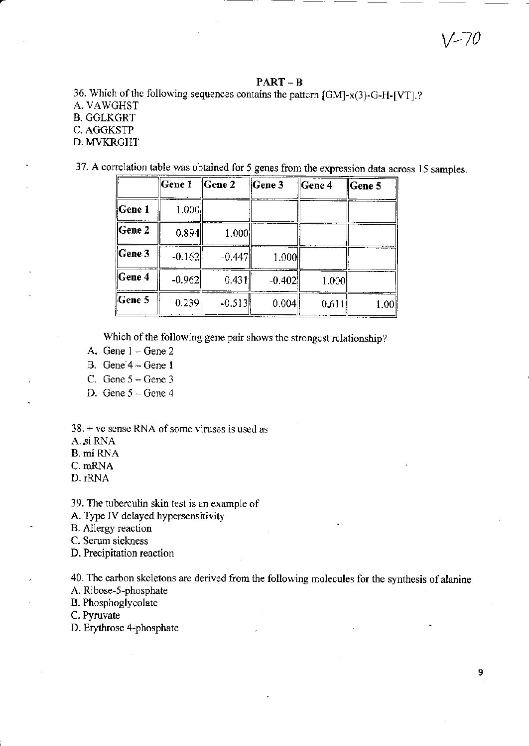### PART - B

36. Which of the following sequences contains the pattern [GM]-x(3)-G-H-[VT].? A. VAWGHST B. GGLKGRT

## C. AGGKSTP

D. MVKRGHT

37. A correlation table was obtained for 5 genes from the expression data across 15 samples.

|                             | Gene 1   | $\parallel$ Gene 2 | Gene 3   | $\ $ Gene 4 | Gene 5 |
|-----------------------------|----------|--------------------|----------|-------------|--------|
| <b>Scene 1</b>              | 1.000    |                    |          |             |        |
| $\ $ Gene 2                 | 0.894    | 1.000              |          |             |        |
| $\sqrt{\frac{1}{1}}$ Gene 3 | $-0.162$ | $-0.447$           | 1.000    |             |        |
| Gene 4                      | $-0.962$ | 0.431              | $-0.402$ | 1.000       |        |
| Gene 5                      | 0.239    | $-0.513$           | 0.004    | 0.611       | 1.00   |

Which of the following gene pair shows the strongest relationship?

- A. Gene  $1 -$  Gene  $2$
- B. Gene 4 Gene I
- C. Gene  $5 -$ Gene 3
- D. Gene  $5 -$  Gene  $4$

 $38. + \text{ve sense RNA of some viruses is used as}$ 

A.si RNA

B. mi RNA

C. nRNA

D, IRNA

39. The tuberculin skin test is ar example of

A. Type IV delayed hypersensitivity

B. Allergy reaction

C. Serum sickness

D. Prccipitation reaction

40. The carbon skeletons are derived from the following molecules for the synthesis of alanine

A. Ribose-5-phosphate

B. Phosphoglycolate

C. Pyruvate

D. Erythrose 4-phosphate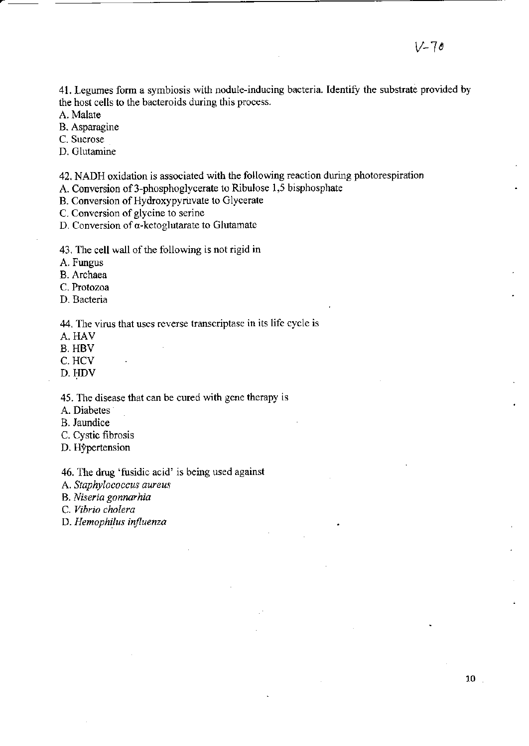41. Legumes form a symbiosis with nodule-inducing bacteria. Identify the substrate provided by the host cells to the bacteroids during this process.

A. Malate

B. Asparagine

C. Sucrose

D. Glutamine

42. NADH oxidation is associated with the following reaction during photorespiration

A. Conversion of 3-phosphoglycerate to Ribulose 1,5 bisphosphate

B. Conversion of Hydroxypyruvate to Glycerate

C. Conversion of glycine to serine

D. Conversion of  $\alpha$ -ketoglutarate to Glutamate

43. The cell wall of the following is not rigid in

A. Fungus

B. Archaea

C. Protozoa

D. Bacteria

44. The virus that uses reverse transcriptase in its life cycle is

A. HAV

**B. HBV** 

C. HCV

D. HDV

45. The disease that can be cured with gene therapy is

A. Diabetes

B. Jaundice

C. Cystic fibrosis

D. Hypertension

46. The drug 'fusidic acid' is being used against

A. Staphylococcus aureus

B. Niseria gonnarhia

C. Vibrio cholera

D. Hemophilus influenza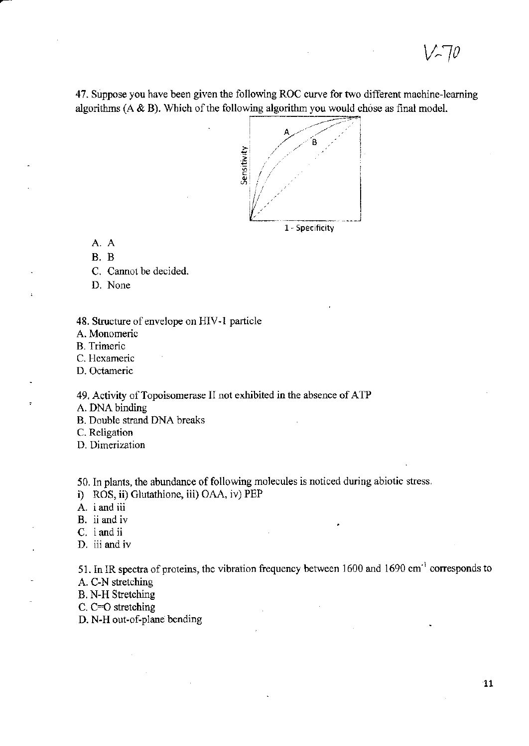$^{\prime}$   $\sim$  10

47. Suppose you have been given the following ROC curve for two different machine-learning algorithms  $(A & B)$ . Which of the following algorithm you would chose as final model.



A. A

 $B. B$ 

C. Cannot be decided.

D. None

48. Structure of envelope on HIV-1 particle

A. Monomeric

**B.** Trimeric

C. Hexameric

D. Octameric

49. Activity of Topoisomerase II not exhibited in the absence of ATP

A. DNA binding

**B.** Double strand DNA breaks

C. Religation

D. Dimerization

50. In plants, the abundance of following molecules is noticed during abiotic stress.

i) ROS, ii) Glutathione, iii) OAA, iv) PEP

A. i and iii

B. ii and iv

C. i and ii

D. iii and iv

51. In IR spectra of proteins, the vibration frequency between 1600 and 1690 cm<sup>-1</sup> corresponds to A. C-N stretching

**B. N-H Stretching** 

C.  $C=O$  stretching

D. N-H out-of-plane bending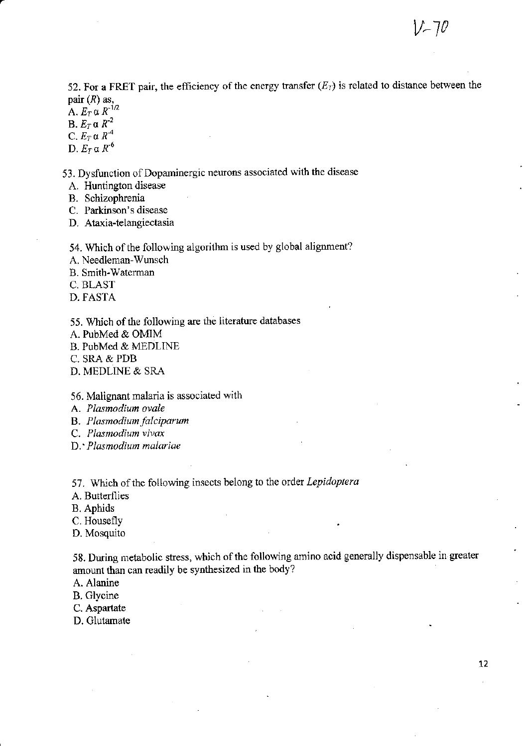52. For a FRET pair, the efficiency of the energy transfer  $(E_T)$  is related to distance between the pair  $(R)$  as,

A.  $E_T \propto R^{-1/2}$ 

B.  $E_T \alpha R^{-2}$ 

C.  $E_T \alpha R^4$ 

D.  $E_T \alpha R^{-6}$ 

53. Dysfunction of Dopaminergic neurons associated with the disease

A. Huntington disease

B. Schizophrenia

C. Parkinson's disease

D. Ataxia-telangiectasia

54. Which of the following algorithm is used by global alignment?

A. Needleman-Wunsch

B. Smith-Waterman

C. BLAST

D. FASTA

55. Which of the following are the literature databases

A. PubMed & OMIM

B. PubMed & MEDLINE

C. SRA & PDB

D. MEDLINE & SRA

56. Malignant malaria is associated with

A. Plasmodium ovale

B. Plasmodium falciparum

C. Plasmodium vivax

D. Plasmodium malariae

57. Which of the following insects belong to the order Lepidoptera

A. Butterflies

**B.** Aphids

C. Housefly

D. Mosquito

58. During metabolic stress, which of the following amino acid generally dispensable in greater amount than can readily be synthesized in the body?

A. Alanine

B. Glycine

C. Aspartate

D. Glutamate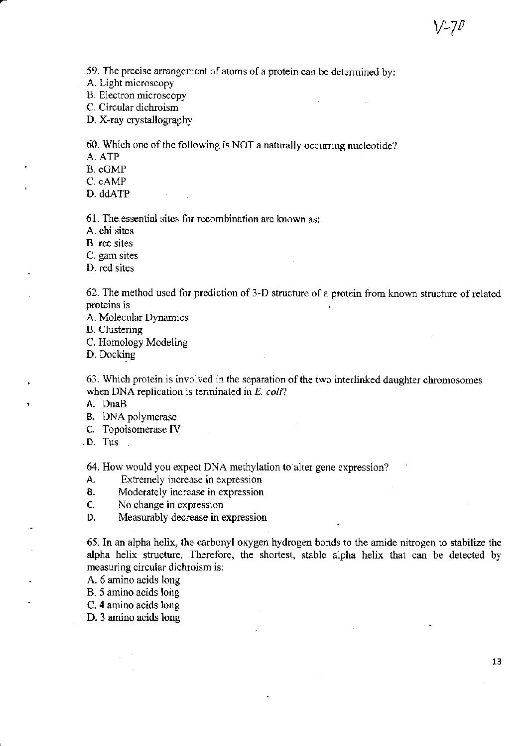59. The precise arrangement of atoms of a protein can be determined by:

A. Light microscopy

B. Electron microscopy

C. Circular dichroism

D. X-ray crystallography

60. Which one of the following is NOT a naturally occurring nucleotide?

A, ATP

B. oGMP

C. oAMP

D. ddATP

61. The essential sites for recombination are known as:

A. chi sites

B. rec sites

C. gam sites

D. red sites

62. The method used for prediction of 3-D structue of a protein from known structure of relatcd proteins is

A. Molecular Dynamics

B. Clustering

C. Homology Modeling

D. Docking

63. Which protein is involved in the separation of the two interlinked daughter chromosomes when DNA replication is terminated in  $E$ , coli?

A. DnaB

B. DNA polymerase

c. Topoisomerase IV

.D. Tus

64. How would you expect DNA methylation to alter gene expression?

A. Extremely increase in expression

B. Moderately increase in expression

C. No change in expression<br>D. Measurably decrease in e

Measurably decrease in expression

65. In an alpha helix, the carbonyl oxygen hydrogen bonds to the amide nitrogen to stabilize the alpha helix structure. Therefore, the shortest, stable alpha helix that can be detected by measuring circular dichroism is:

A. 6 amino acids long

B. 5 amino acids long

C. 4 amino acids long

D. 3 amino acids long

 $V$ -7 $\nu$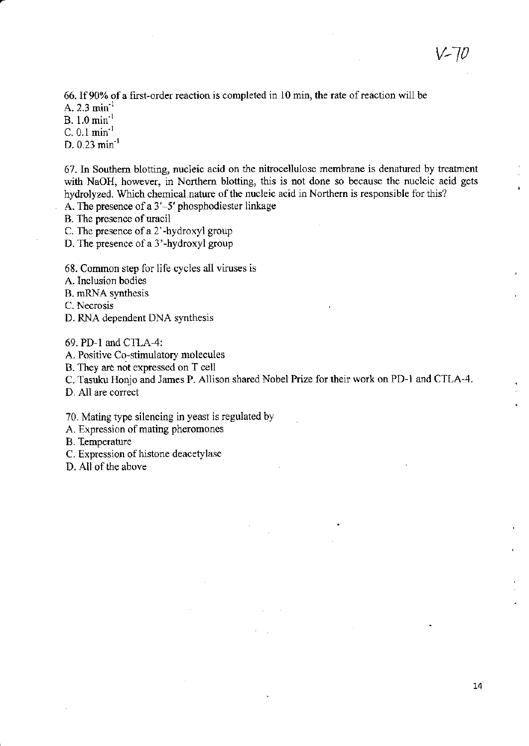66. If 90% of a first-order reaction is completed in 10 min, the rate of reaction will be A.  $2.3 \text{ min}^{-1}$ 

B.  $1.0 \text{ min}^{-1}$ 

 $C. 0.1$   $min^{-1}$ 

D.  $0.23$  min<sup>-1</sup>

67. In Southern blotting, nucleic acid on the nitrocellulose membrane is denatured by treatment with NaOH, however, in Northern blotting, this is not done so because the nucleic acid gets hydrolyzed. Which chemical nature of the nucleic acid in Northern is responsible for this?

A. The presence of a  $3'-5'$  phosphodiester linkage

B. The presence of uracil

C. The presence of a 2'-hydroxyl group

D. The presence of a 3'-hydroxyl group

- 68. Common step for life cycles all viruses is
- A. Inclusion bodies
- B. mRNA synthesis

C. Necrosis

D. RNA dependent DNA synthesis

69. PD-l and C1LA-4:

A. Positive Co-stimulatory molecules

B. They are not expressed on T cell

C. Tasuku Honjo and James P. Allison shared Nobel Prize for their work on PD-l and CTLA-4.

D. All are correct

70. Mating type silencing in yeast is regulated by

A. Expression of mating pheromones

B. Temperature

C. Expression of histone deacety lase

D. All of the above